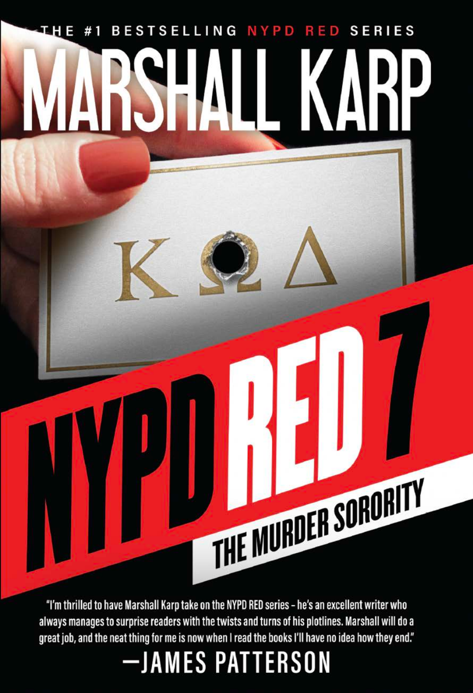#### **BESTSELLING NYPD RED SERIES** I W  $\blacklozenge$

"I'm thrilled to have Marshall Karp take on the NYPD RED series - he's an excellent writer who always manages to surprise readers with the twists and turns of his plotlines. Marshall will do a great job, and the neat thing for me is now when I read the books I'll have no idea how they end."

THE MURDER SORORITY

# -JAMES PATTERSON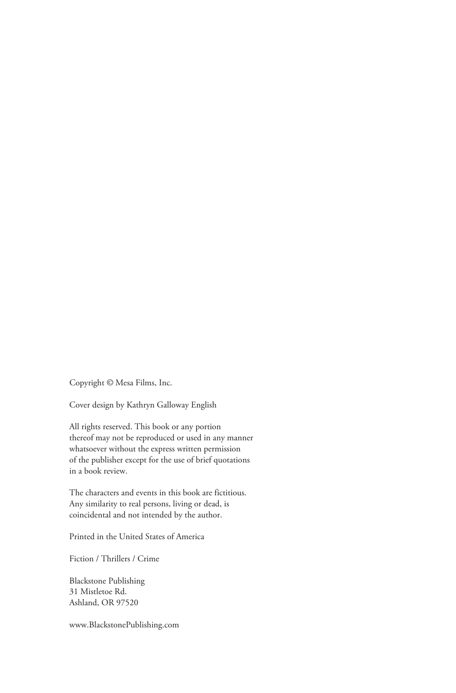Copyright © Mesa Films, Inc.

Cover design by Kathryn Galloway English

All rights reserved. This book or any portion thereof may not be reproduced or used in any manner whatsoever without the express written permission of the publisher except for the use of brief quotations in a book review.

The characters and events in this book are fictitious. Any similarity to real persons, living or dead, is coincidental and not intended by the author.

Printed in the United States of America

Fiction / Thrillers / Crime

Blackstone Publishing 31 Mistletoe Rd. Ashland, OR 97520

www.BlackstonePublishing.com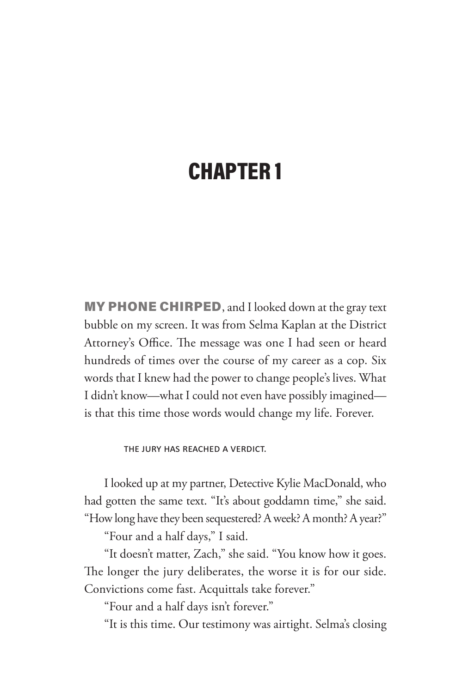## CHAPTER 1

MY PHONE CHIRPED, and I looked down at the gray text bubble on my screen. It was from Selma Kaplan at the District Attorney's Office. The message was one I had seen or heard hundreds of times over the course of my career as a cop. Six words that I knew had the power to change people's lives. What I didn't know—what I could not even have possibly imagined is that this time those words would change my life. Forever.

the jury has reached a verdict.

I looked up at my partner, Detective Kylie MacDonald, who had gotten the same text. "It's about goddamn time," she said. "How long have they been sequestered? A week? A month? A year?"

"Four and a half days," I said.

"It doesn't matter, Zach," she said. "You know how it goes. The longer the jury deliberates, the worse it is for our side. Convictions come fast. Acquittals take forever."

"Four and a half days isn't forever."

"It is this time. Our testimony was airtight. Selma's closing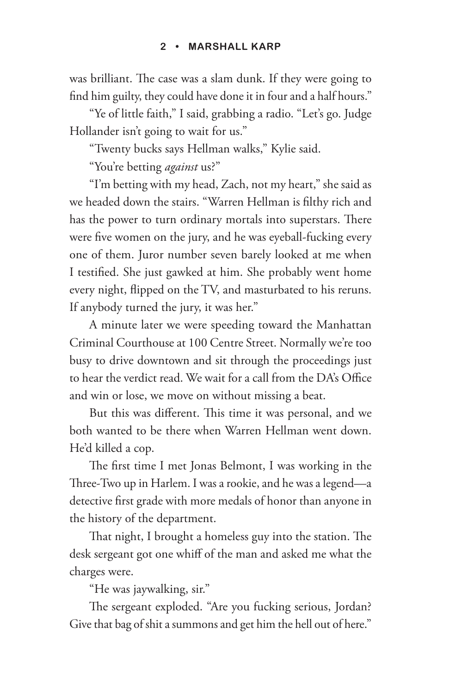was brilliant. The case was a slam dunk. If they were going to find him guilty, they could have done it in four and a half hours."

"Ye of little faith," I said, grabbing a radio. "Let's go. Judge Hollander isn't going to wait for us."

"Twenty bucks says Hellman walks," Kylie said.

"You're betting *against* us?"

"I'm betting with my head, Zach, not my heart," she said as we headed down the stairs. "Warren Hellman is filthy rich and has the power to turn ordinary mortals into superstars. There were five women on the jury, and he was eyeball-fucking every one of them. Juror number seven barely looked at me when I testified. She just gawked at him. She probably went home every night, flipped on the TV, and masturbated to his reruns. If anybody turned the jury, it was her."

A minute later we were speeding toward the Manhattan Criminal Courthouse at 100 Centre Street. Normally we're too busy to drive downtown and sit through the proceedings just to hear the verdict read. We wait for a call from the DA's Office and win or lose, we move on without missing a beat.

But this was different. This time it was personal, and we both wanted to be there when Warren Hellman went down. He'd killed a cop.

The first time I met Jonas Belmont, I was working in the Three-Two up in Harlem. I was a rookie, and he was a legend—a detective first grade with more medals of honor than anyone in the history of the department.

That night, I brought a homeless guy into the station. The desk sergeant got one whiff of the man and asked me what the charges were.

"He was jaywalking, sir."

The sergeant exploded. "Are you fucking serious, Jordan? Give that bag of shit a summons and get him the hell out of here."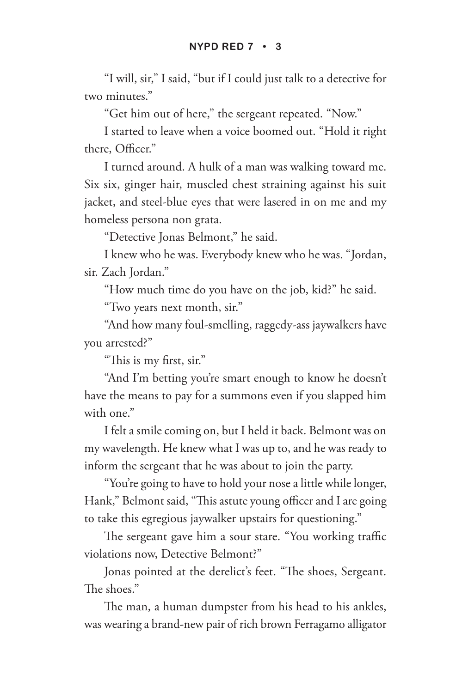"I will, sir," I said, "but if I could just talk to a detective for two minutes."

"Get him out of here," the sergeant repeated. "Now."

I started to leave when a voice boomed out. "Hold it right there, Officer."

I turned around. A hulk of a man was walking toward me. Six six, ginger hair, muscled chest straining against his suit jacket, and steel-blue eyes that were lasered in on me and my homeless persona non grata.

"Detective Jonas Belmont," he said.

I knew who he was. Everybody knew who he was. "Jordan, sir. Zach Jordan."

"How much time do you have on the job, kid?" he said.

"Two years next month, sir."

"And how many foul-smelling, raggedy-ass jaywalkers have you arrested?"

"This is my first, sir."

"And I'm betting you're smart enough to know he doesn't have the means to pay for a summons even if you slapped him with one"

I felt a smile coming on, but I held it back. Belmont was on my wavelength. He knew what I was up to, and he was ready to inform the sergeant that he was about to join the party.

"You're going to have to hold your nose a little while longer, Hank," Belmont said, "This astute young officer and I are going to take this egregious jaywalker upstairs for questioning."

The sergeant gave him a sour stare. "You working traffic violations now, Detective Belmont?"

Jonas pointed at the derelict's feet. "The shoes, Sergeant. The shoes."

The man, a human dumpster from his head to his ankles, was wearing a brand-new pair of rich brown Ferragamo alligator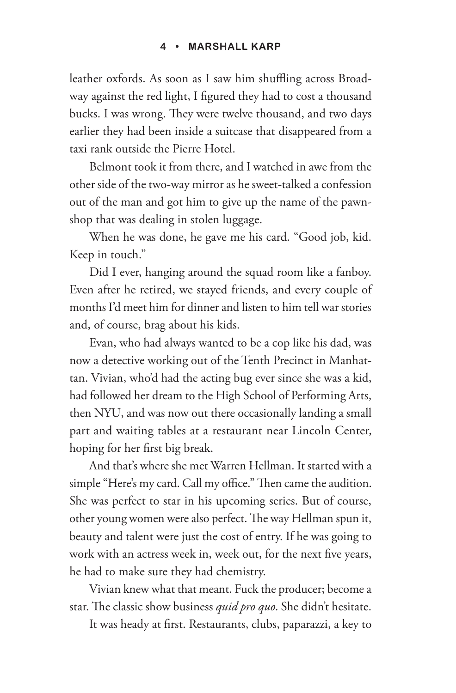leather oxfords. As soon as I saw him shuffling across Broadway against the red light, I figured they had to cost a thousand bucks. I was wrong. They were twelve thousand, and two days earlier they had been inside a suitcase that disappeared from a taxi rank outside the Pierre Hotel.

Belmont took it from there, and I watched in awe from the other side of the two-way mirror as he sweet-talked a confession out of the man and got him to give up the name of the pawnshop that was dealing in stolen luggage.

When he was done, he gave me his card. "Good job, kid. Keep in touch."

Did I ever, hanging around the squad room like a fanboy. Even after he retired, we stayed friends, and every couple of months I'd meet him for dinner and listen to him tell war stories and, of course, brag about his kids.

Evan, who had always wanted to be a cop like his dad, was now a detective working out of the Tenth Precinct in Manhattan. Vivian, who'd had the acting bug ever since she was a kid, had followed her dream to the High School of Performing Arts, then NYU, and was now out there occasionally landing a small part and waiting tables at a restaurant near Lincoln Center, hoping for her first big break.

And that's where she met Warren Hellman. It started with a simple "Here's my card. Call my office." Then came the audition. She was perfect to star in his upcoming series. But of course, other young women were also perfect. The way Hellman spun it, beauty and talent were just the cost of entry. If he was going to work with an actress week in, week out, for the next five years, he had to make sure they had chemistry.

Vivian knew what that meant. Fuck the producer; become a star. The classic show business *quid pro quo*. She didn't hesitate.

It was heady at first. Restaurants, clubs, paparazzi, a key to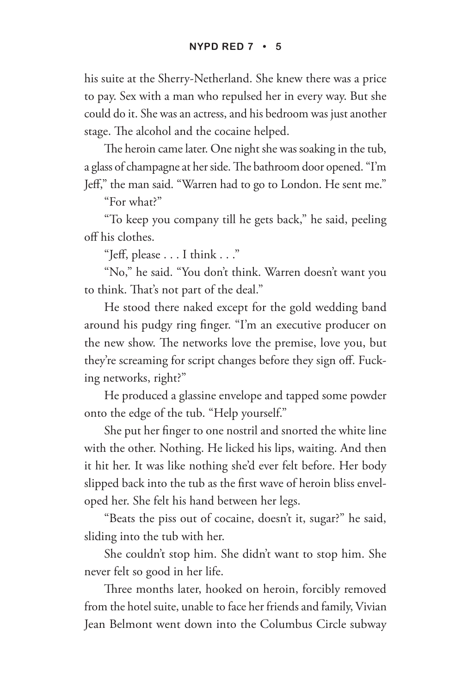his suite at the Sherry-Netherland. She knew there was a price to pay. Sex with a man who repulsed her in every way. But she could do it. She was an actress, and his bedroom was just another stage. The alcohol and the cocaine helped.

The heroin came later. One night she was soaking in the tub, a glass of champagne at her side. The bathroom door opened. "I'm Jeff," the man said. "Warren had to go to London. He sent me."

"For what?"

"To keep you company till he gets back," he said, peeling off his clothes.

"Jeff, please . . . I think . . ."

"No," he said. "You don't think. Warren doesn't want you to think. That's not part of the deal."

He stood there naked except for the gold wedding band around his pudgy ring finger. "I'm an executive producer on the new show. The networks love the premise, love you, but they're screaming for script changes before they sign off. Fucking networks, right?"

He produced a glassine envelope and tapped some powder onto the edge of the tub. "Help yourself."

She put her finger to one nostril and snorted the white line with the other. Nothing. He licked his lips, waiting. And then it hit her. It was like nothing she'd ever felt before. Her body slipped back into the tub as the first wave of heroin bliss enveloped her. She felt his hand between her legs.

"Beats the piss out of cocaine, doesn't it, sugar?" he said, sliding into the tub with her.

She couldn't stop him. She didn't want to stop him. She never felt so good in her life.

Three months later, hooked on heroin, forcibly removed from the hotel suite, unable to face her friends and family, Vivian Jean Belmont went down into the Columbus Circle subway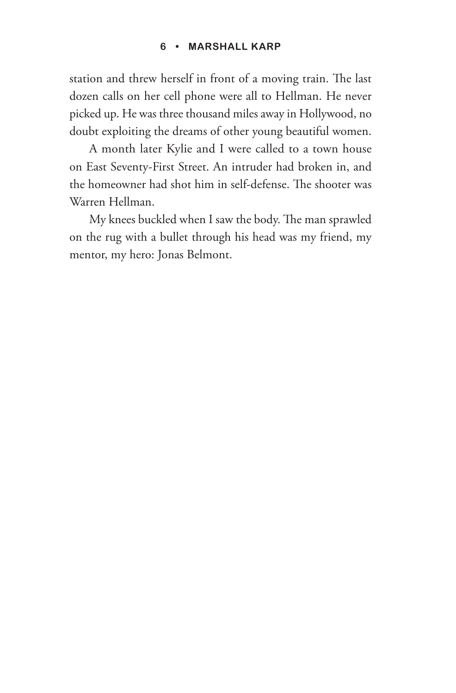station and threw herself in front of a moving train. The last dozen calls on her cell phone were all to Hellman. He never picked up. He was three thousand miles away in Hollywood, no doubt exploiting the dreams of other young beautiful women.

A month later Kylie and I were called to a town house on East Seventy-First Street. An intruder had broken in, and the homeowner had shot him in self-defense. The shooter was Warren Hellman.

My knees buckled when I saw the body. The man sprawled on the rug with a bullet through his head was my friend, my mentor, my hero: Jonas Belmont.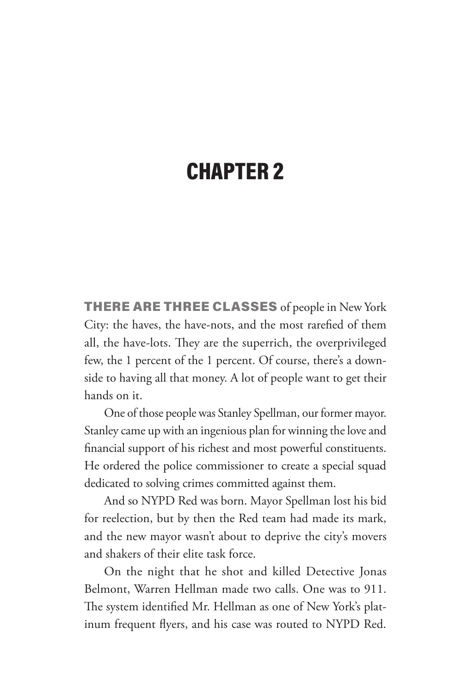### CHAPTER 2

THERE ARE THREE CLASSES of people in New York City: the haves, the have-nots, and the most rarefied of them all, the have-lots. They are the superrich, the overprivileged few, the 1 percent of the 1 percent. Of course, there's a downside to having all that money. A lot of people want to get their hands on it.

One of those people was Stanley Spellman, our former mayor. Stanley came up with an ingenious plan for winning the love and financial support of his richest and most powerful constituents. He ordered the police commissioner to create a special squad dedicated to solving crimes committed against them.

And so NYPD Red was born. Mayor Spellman lost his bid for reelection, but by then the Red team had made its mark, and the new mayor wasn't about to deprive the city's movers and shakers of their elite task force.

On the night that he shot and killed Detective Jonas Belmont, Warren Hellman made two calls. One was to 911. The system identified Mr. Hellman as one of New York's platinum frequent flyers, and his case was routed to NYPD Red.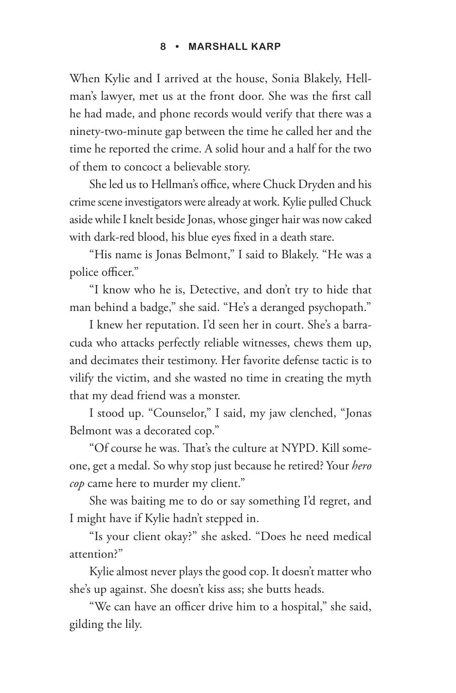When Kylie and I arrived at the house, Sonia Blakely, Hellman's lawyer, met us at the front door. She was the first call he had made, and phone records would verify that there was a ninety-two-minute gap between the time he called her and the time he reported the crime. A solid hour and a half for the two of them to concoct a believable story.

She led us to Hellman's office, where Chuck Dryden and his crime scene investigators were already at work. Kylie pulled Chuck aside while I knelt beside Jonas, whose ginger hair was now caked with dark-red blood, his blue eyes fixed in a death stare.

"His name is Jonas Belmont," I said to Blakely. "He was a police officer."

"I know who he is, Detective, and don't try to hide that man behind a badge," she said. "He's a deranged psychopath."

I knew her reputation. I'd seen her in court. She's a barracuda who attacks perfectly reliable witnesses, chews them up, and decimates their testimony. Her favorite defense tactic is to vilify the victim, and she wasted no time in creating the myth that my dead friend was a monster.

I stood up. "Counselor," I said, my jaw clenched, "Jonas Belmont was a decorated cop."

"Of course he was. That's the culture at NYPD. Kill someone, get a medal. So why stop just because he retired? Your *hero cop* came here to murder my client."

She was baiting me to do or say something I'd regret, and I might have if Kylie hadn't stepped in.

"Is your client okay?" she asked. "Does he need medical attention?"

Kylie almost never plays the good cop. It doesn't matter who she's up against. She doesn't kiss ass; she butts heads.

"We can have an officer drive him to a hospital," she said, gilding the lily.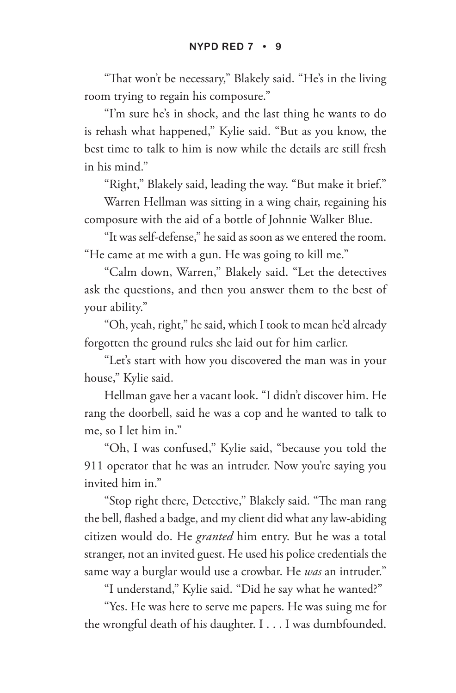"That won't be necessary," Blakely said. "He's in the living room trying to regain his composure."

"I'm sure he's in shock, and the last thing he wants to do is rehash what happened," Kylie said. "But as you know, the best time to talk to him is now while the details are still fresh in his mind."

"Right," Blakely said, leading the way. "But make it brief."

Warren Hellman was sitting in a wing chair, regaining his composure with the aid of a bottle of Johnnie Walker Blue.

"It was self-defense," he said as soon as we entered the room. "He came at me with a gun. He was going to kill me."

"Calm down, Warren," Blakely said. "Let the detectives ask the questions, and then you answer them to the best of your ability."

"Oh, yeah, right," he said, which I took to mean he'd already forgotten the ground rules she laid out for him earlier.

"Let's start with how you discovered the man was in your house," Kylie said.

Hellman gave her a vacant look. "I didn't discover him. He rang the doorbell, said he was a cop and he wanted to talk to me, so I let him in."

"Oh, I was confused," Kylie said, "because you told the 911 operator that he was an intruder. Now you're saying you invited him in."

"Stop right there, Detective," Blakely said. "The man rang the bell, flashed a badge, and my client did what any law-abiding citizen would do. He *granted* him entry. But he was a total stranger, not an invited guest. He used his police credentials the same way a burglar would use a crowbar. He *was* an intruder."

"I understand," Kylie said. "Did he say what he wanted?"

"Yes. He was here to serve me papers. He was suing me for the wrongful death of his daughter. I . . . I was dumbfounded.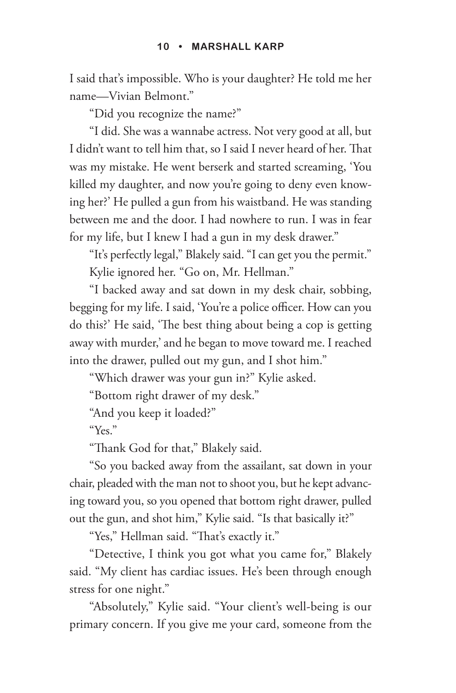I said that's impossible. Who is your daughter? He told me her name—Vivian Belmont."

"Did you recognize the name?"

"I did. She was a wannabe actress. Not very good at all, but I didn't want to tell him that, so I said I never heard of her. That was my mistake. He went berserk and started screaming, 'You killed my daughter, and now you're going to deny even knowing her?' He pulled a gun from his waistband. He was standing between me and the door. I had nowhere to run. I was in fear for my life, but I knew I had a gun in my desk drawer."

"It's perfectly legal," Blakely said. "I can get you the permit." Kylie ignored her. "Go on, Mr. Hellman."

"I backed away and sat down in my desk chair, sobbing, begging for my life. I said, 'You're a police officer. How can you do this?' He said, 'The best thing about being a cop is getting away with murder,' and he began to move toward me. I reached into the drawer, pulled out my gun, and I shot him."

"Which drawer was your gun in?" Kylie asked.

"Bottom right drawer of my desk."

"And you keep it loaded?"

"Yes."

"Thank God for that," Blakely said.

"So you backed away from the assailant, sat down in your chair, pleaded with the man not to shoot you, but he kept advancing toward you, so you opened that bottom right drawer, pulled out the gun, and shot him," Kylie said. "Is that basically it?"

"Yes," Hellman said. "That's exactly it."

"Detective, I think you got what you came for," Blakely said. "My client has cardiac issues. He's been through enough stress for one night."

"Absolutely," Kylie said. "Your client's well-being is our primary concern. If you give me your card, someone from the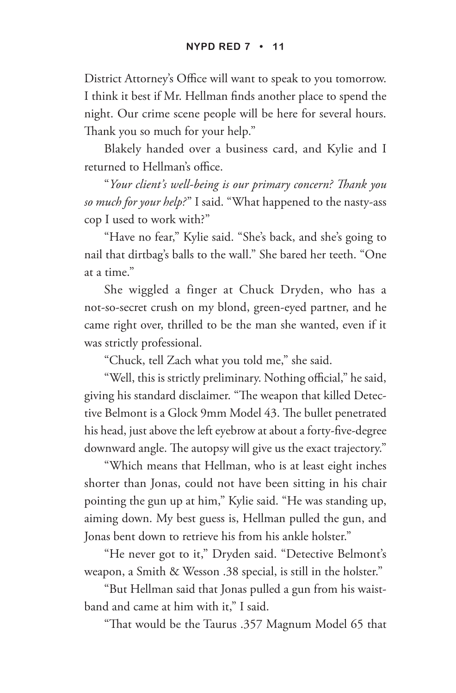District Attorney's Office will want to speak to you tomorrow. I think it best if Mr. Hellman finds another place to spend the night. Our crime scene people will be here for several hours. Thank you so much for your help."

Blakely handed over a business card, and Kylie and I returned to Hellman's office.

"*Your client's well-being is our primary concern? Thank you so much for your help?*" I said. "What happened to the nasty-ass cop I used to work with?"

"Have no fear," Kylie said. "She's back, and she's going to nail that dirtbag's balls to the wall." She bared her teeth. "One at a time."

She wiggled a finger at Chuck Dryden, who has a not-so-secret crush on my blond, green-eyed partner, and he came right over, thrilled to be the man she wanted, even if it was strictly professional.

"Chuck, tell Zach what you told me," she said.

"Well, this is strictly preliminary. Nothing official," he said, giving his standard disclaimer. "The weapon that killed Detective Belmont is a Glock 9mm Model 43. The bullet penetrated his head, just above the left eyebrow at about a forty-five-degree downward angle. The autopsy will give us the exact trajectory."

"Which means that Hellman, who is at least eight inches shorter than Jonas, could not have been sitting in his chair pointing the gun up at him," Kylie said. "He was standing up, aiming down. My best guess is, Hellman pulled the gun, and Jonas bent down to retrieve his from his ankle holster."

"He never got to it," Dryden said. "Detective Belmont's weapon, a Smith & Wesson .38 special, is still in the holster."

"But Hellman said that Jonas pulled a gun from his waistband and came at him with it," I said.

"That would be the Taurus .357 Magnum Model 65 that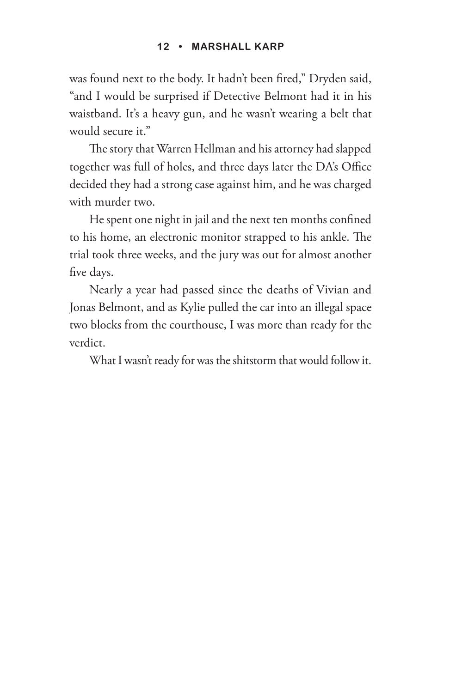was found next to the body. It hadn't been fired," Dryden said, "and I would be surprised if Detective Belmont had it in his waistband. It's a heavy gun, and he wasn't wearing a belt that would secure it."

The story that Warren Hellman and his attorney had slapped together was full of holes, and three days later the DA's Office decided they had a strong case against him, and he was charged with murder two.

He spent one night in jail and the next ten months confined to his home, an electronic monitor strapped to his ankle. The trial took three weeks, and the jury was out for almost another five days.

Nearly a year had passed since the deaths of Vivian and Jonas Belmont, and as Kylie pulled the car into an illegal space two blocks from the courthouse, I was more than ready for the verdict.

What I wasn't ready for was the shitstorm that would follow it.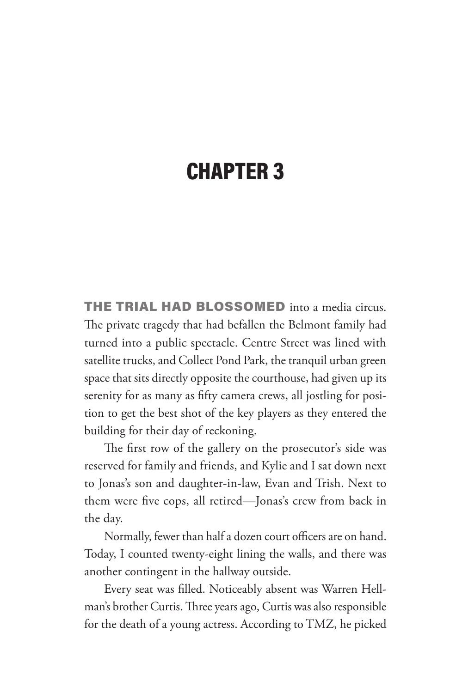### CHAPTER 3

**THE TRIAL HAD BLOSSOMED** into a media circus. The private tragedy that had befallen the Belmont family had turned into a public spectacle. Centre Street was lined with satellite trucks, and Collect Pond Park, the tranquil urban green space that sits directly opposite the courthouse, had given up its serenity for as many as fifty camera crews, all jostling for position to get the best shot of the key players as they entered the building for their day of reckoning.

The first row of the gallery on the prosecutor's side was reserved for family and friends, and Kylie and I sat down next to Jonas's son and daughter-in-law, Evan and Trish. Next to them were five cops, all retired—Jonas's crew from back in the day.

Normally, fewer than half a dozen court officers are on hand. Today, I counted twenty-eight lining the walls, and there was another contingent in the hallway outside.

Every seat was filled. Noticeably absent was Warren Hellman's brother Curtis. Three years ago, Curtis was also responsible for the death of a young actress. According to TMZ, he picked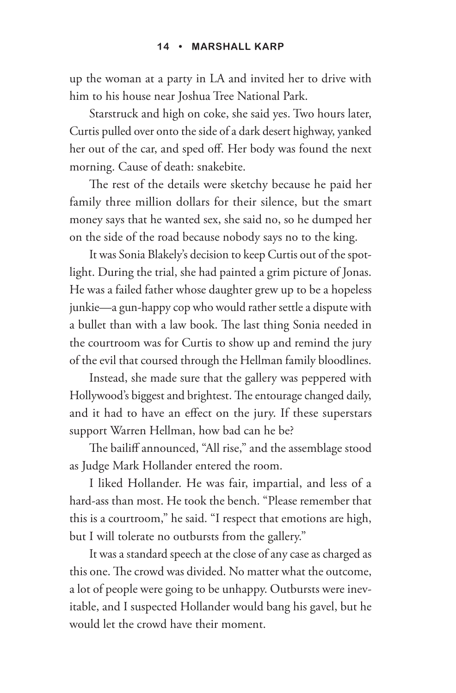up the woman at a party in LA and invited her to drive with him to his house near Joshua Tree National Park.

Starstruck and high on coke, she said yes. Two hours later, Curtis pulled over onto the side of a dark desert highway, yanked her out of the car, and sped off. Her body was found the next morning. Cause of death: snakebite.

The rest of the details were sketchy because he paid her family three million dollars for their silence, but the smart money says that he wanted sex, she said no, so he dumped her on the side of the road because nobody says no to the king.

It was Sonia Blakely's decision to keep Curtis out of the spotlight. During the trial, she had painted a grim picture of Jonas. He was a failed father whose daughter grew up to be a hopeless junkie—a gun-happy cop who would rather settle a dispute with a bullet than with a law book. The last thing Sonia needed in the courtroom was for Curtis to show up and remind the jury of the evil that coursed through the Hellman family bloodlines.

Instead, she made sure that the gallery was peppered with Hollywood's biggest and brightest. The entourage changed daily, and it had to have an effect on the jury. If these superstars support Warren Hellman, how bad can he be?

The bailiff announced, "All rise," and the assemblage stood as Judge Mark Hollander entered the room.

I liked Hollander. He was fair, impartial, and less of a hard-ass than most. He took the bench. "Please remember that this is a courtroom," he said. "I respect that emotions are high, but I will tolerate no outbursts from the gallery."

It was a standard speech at the close of any case as charged as this one. The crowd was divided. No matter what the outcome, a lot of people were going to be unhappy. Outbursts were inevitable, and I suspected Hollander would bang his gavel, but he would let the crowd have their moment.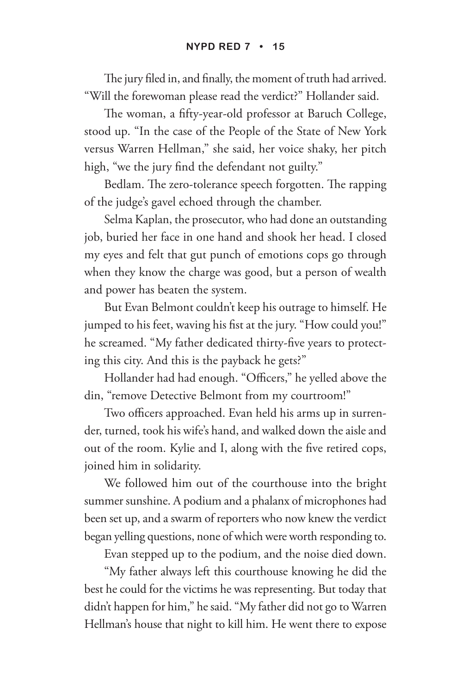The jury filed in, and finally, the moment of truth had arrived. "Will the forewoman please read the verdict?" Hollander said.

The woman, a fifty-year-old professor at Baruch College, stood up. "In the case of the People of the State of New York versus Warren Hellman," she said, her voice shaky, her pitch high, "we the jury find the defendant not guilty."

Bedlam. The zero-tolerance speech forgotten. The rapping of the judge's gavel echoed through the chamber.

Selma Kaplan, the prosecutor, who had done an outstanding job, buried her face in one hand and shook her head. I closed my eyes and felt that gut punch of emotions cops go through when they know the charge was good, but a person of wealth and power has beaten the system.

But Evan Belmont couldn't keep his outrage to himself. He jumped to his feet, waving his fist at the jury. "How could you!" he screamed. "My father dedicated thirty-five years to protecting this city. And this is the payback he gets?"

Hollander had had enough. "Officers," he yelled above the din, "remove Detective Belmont from my courtroom!"

Two officers approached. Evan held his arms up in surrender, turned, took his wife's hand, and walked down the aisle and out of the room. Kylie and I, along with the five retired cops, joined him in solidarity.

We followed him out of the courthouse into the bright summer sunshine. A podium and a phalanx of microphones had been set up, and a swarm of reporters who now knew the verdict began yelling questions, none of which were worth responding to.

Evan stepped up to the podium, and the noise died down.

"My father always left this courthouse knowing he did the best he could for the victims he was representing. But today that didn't happen for him," he said. "My father did not go to Warren Hellman's house that night to kill him. He went there to expose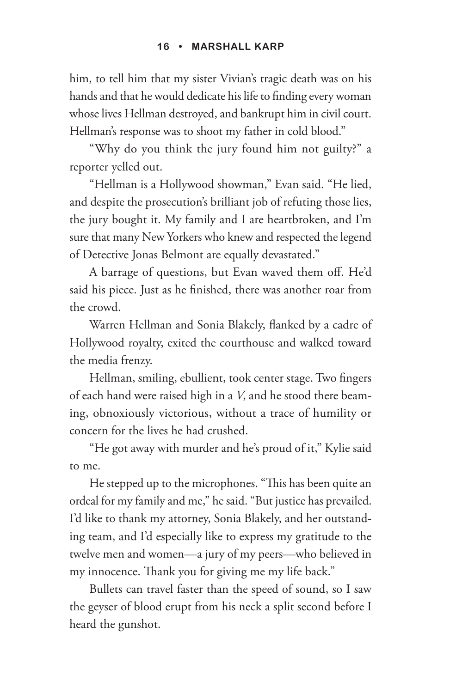him, to tell him that my sister Vivian's tragic death was on his hands and that he would dedicate his life to finding every woman whose lives Hellman destroyed, and bankrupt him in civil court. Hellman's response was to shoot my father in cold blood."

"Why do you think the jury found him not guilty?" a reporter yelled out.

"Hellman is a Hollywood showman," Evan said. "He lied, and despite the prosecution's brilliant job of refuting those lies, the jury bought it. My family and I are heartbroken, and I'm sure that many New Yorkers who knew and respected the legend of Detective Jonas Belmont are equally devastated."

A barrage of questions, but Evan waved them off. He'd said his piece. Just as he finished, there was another roar from the crowd.

Warren Hellman and Sonia Blakely, flanked by a cadre of Hollywood royalty, exited the courthouse and walked toward the media frenzy.

Hellman, smiling, ebullient, took center stage. Two fingers of each hand were raised high in a *V*, and he stood there beaming, obnoxiously victorious, without a trace of humility or concern for the lives he had crushed.

"He got away with murder and he's proud of it," Kylie said to me.

He stepped up to the microphones. "This has been quite an ordeal for my family and me," he said. "But justice has prevailed. I'd like to thank my attorney, Sonia Blakely, and her outstanding team, and I'd especially like to express my gratitude to the twelve men and women—a jury of my peers—who believed in my innocence. Thank you for giving me my life back."

Bullets can travel faster than the speed of sound, so I saw the geyser of blood erupt from his neck a split second before I heard the gunshot.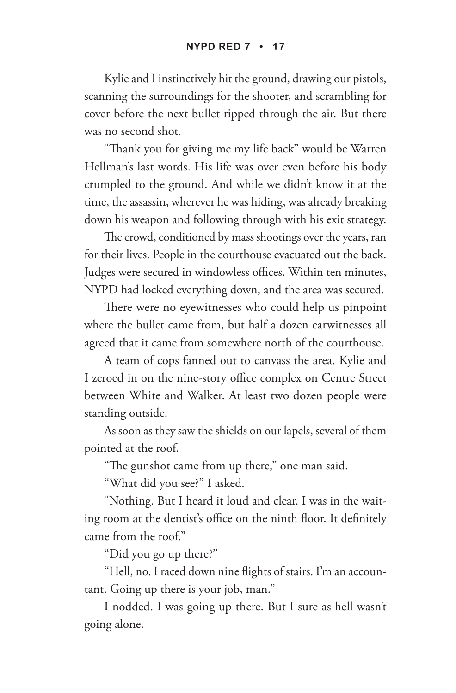Kylie and I instinctively hit the ground, drawing our pistols, scanning the surroundings for the shooter, and scrambling for cover before the next bullet ripped through the air. But there was no second shot.

"Thank you for giving me my life back" would be Warren Hellman's last words. His life was over even before his body crumpled to the ground. And while we didn't know it at the time, the assassin, wherever he was hiding, was already breaking down his weapon and following through with his exit strategy.

The crowd, conditioned by mass shootings over the years, ran for their lives. People in the courthouse evacuated out the back. Judges were secured in windowless offices. Within ten minutes, NYPD had locked everything down, and the area was secured.

There were no eyewitnesses who could help us pinpoint where the bullet came from, but half a dozen earwitnesses all agreed that it came from somewhere north of the courthouse.

A team of cops fanned out to canvass the area. Kylie and I zeroed in on the nine-story office complex on Centre Street between White and Walker. At least two dozen people were standing outside.

As soon as they saw the shields on our lapels, several of them pointed at the roof.

"The gunshot came from up there," one man said.

"What did you see?" I asked.

"Nothing. But I heard it loud and clear. I was in the waiting room at the dentist's office on the ninth floor. It definitely came from the roof."

"Did you go up there?"

"Hell, no. I raced down nine flights of stairs. I'm an accountant. Going up there is your job, man."

I nodded. I was going up there. But I sure as hell wasn't going alone.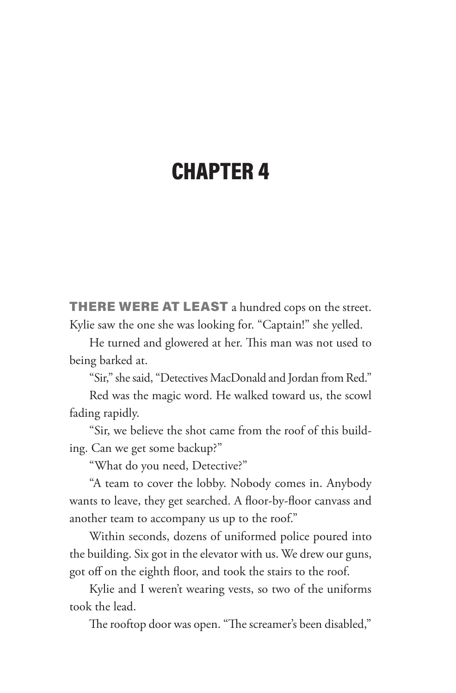### CHAPTER 4

THERE WERE AT LEAST a hundred cops on the street. Kylie saw the one she was looking for. "Captain!" she yelled.

He turned and glowered at her. This man was not used to being barked at.

"Sir," she said, "Detectives MacDonald and Jordan from Red."

Red was the magic word. He walked toward us, the scowl fading rapidly.

"Sir, we believe the shot came from the roof of this building. Can we get some backup?"

"What do you need, Detective?"

"A team to cover the lobby. Nobody comes in. Anybody wants to leave, they get searched. A floor-by-floor canvass and another team to accompany us up to the roof."

Within seconds, dozens of uniformed police poured into the building. Six got in the elevator with us. We drew our guns, got off on the eighth floor, and took the stairs to the roof.

Kylie and I weren't wearing vests, so two of the uniforms took the lead.

The rooftop door was open. "The screamer's been disabled,"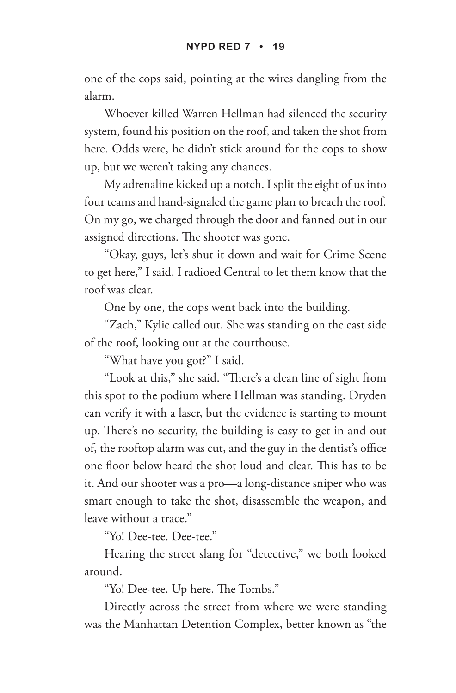one of the cops said, pointing at the wires dangling from the alarm.

Whoever killed Warren Hellman had silenced the security system, found his position on the roof, and taken the shot from here. Odds were, he didn't stick around for the cops to show up, but we weren't taking any chances.

My adrenaline kicked up a notch. I split the eight of us into four teams and hand-signaled the game plan to breach the roof. On my go, we charged through the door and fanned out in our assigned directions. The shooter was gone.

"Okay, guys, let's shut it down and wait for Crime Scene to get here," I said. I radioed Central to let them know that the roof was clear.

One by one, the cops went back into the building.

"Zach," Kylie called out. She was standing on the east side of the roof, looking out at the courthouse.

"What have you got?" I said.

"Look at this," she said. "There's a clean line of sight from this spot to the podium where Hellman was standing. Dryden can verify it with a laser, but the evidence is starting to mount up. There's no security, the building is easy to get in and out of, the rooftop alarm was cut, and the guy in the dentist's office one floor below heard the shot loud and clear. This has to be it. And our shooter was a pro—a long-distance sniper who was smart enough to take the shot, disassemble the weapon, and leave without a trace."

"Yo! Dee-tee. Dee-tee."

Hearing the street slang for "detective," we both looked around.

"Yo! Dee-tee. Up here. The Tombs."

Directly across the street from where we were standing was the Manhattan Detention Complex, better known as "the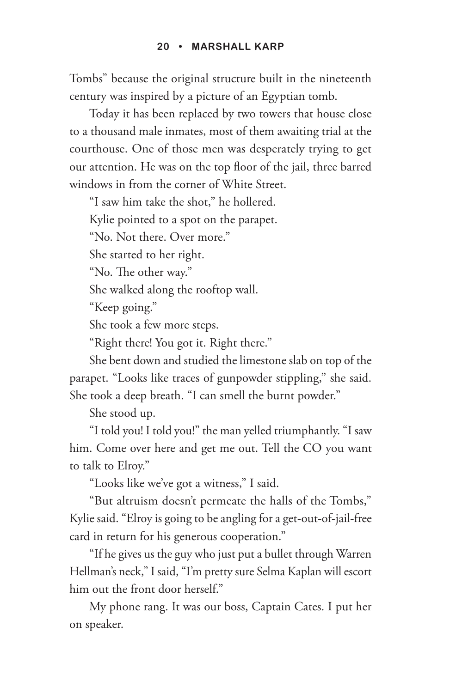Tombs" because the original structure built in the nineteenth century was inspired by a picture of an Egyptian tomb.

Today it has been replaced by two towers that house close to a thousand male inmates, most of them awaiting trial at the courthouse. One of those men was desperately trying to get our attention. He was on the top floor of the jail, three barred windows in from the corner of White Street.

"I saw him take the shot," he hollered.

Kylie pointed to a spot on the parapet.

"No. Not there. Over more."

She started to her right.

"No. The other way."

She walked along the rooftop wall.

"Keep going."

She took a few more steps.

"Right there! You got it. Right there."

She bent down and studied the limestone slab on top of the parapet. "Looks like traces of gunpowder stippling," she said. She took a deep breath. "I can smell the burnt powder."

She stood up.

"I told you! I told you!" the man yelled triumphantly. "I saw him. Come over here and get me out. Tell the CO you want to talk to Elroy."

"Looks like we've got a witness," I said.

"But altruism doesn't permeate the halls of the Tombs," Kylie said. "Elroy is going to be angling for a get-out-of-jail-free card in return for his generous cooperation."

"If he gives us the guy who just put a bullet through Warren Hellman's neck," I said, "I'm pretty sure Selma Kaplan will escort him out the front door herself."

My phone rang. It was our boss, Captain Cates. I put her on speaker.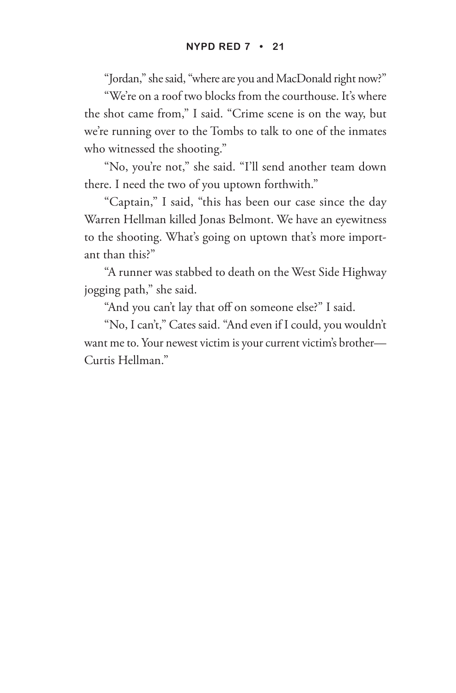"Jordan," she said, "where are you and MacDonald right now?"

"We're on a roof two blocks from the courthouse. It's where the shot came from," I said. "Crime scene is on the way, but we're running over to the Tombs to talk to one of the inmates who witnessed the shooting."

"No, you're not," she said. "I'll send another team down there. I need the two of you uptown forthwith."

"Captain," I said, "this has been our case since the day Warren Hellman killed Jonas Belmont. We have an eyewitness to the shooting. What's going on uptown that's more important than this?"

"A runner was stabbed to death on the West Side Highway jogging path," she said.

"And you can't lay that off on someone else?" I said.

"No, I can't," Cates said. "And even if I could, you wouldn't want me to. Your newest victim is your current victim's brother— Curtis Hellman<sup>"</sup>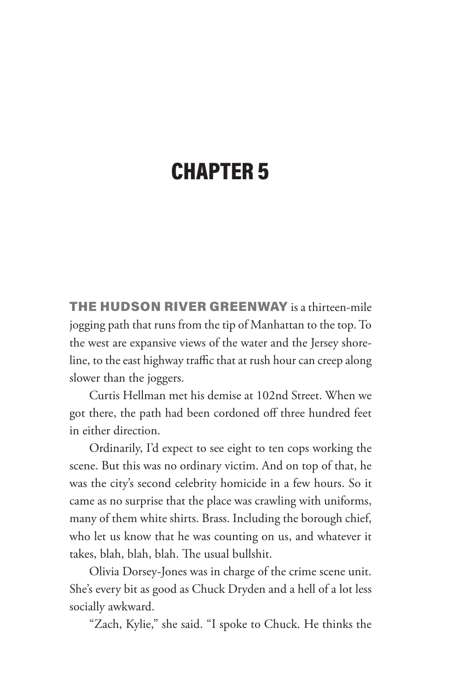### CHAPTER 5

THE HUDSON RIVER GREENWAY is a thirteen-mile jogging path that runs from the tip of Manhattan to the top. To the west are expansive views of the water and the Jersey shoreline, to the east highway traffic that at rush hour can creep along slower than the joggers.

Curtis Hellman met his demise at 102nd Street. When we got there, the path had been cordoned off three hundred feet in either direction.

Ordinarily, I'd expect to see eight to ten cops working the scene. But this was no ordinary victim. And on top of that, he was the city's second celebrity homicide in a few hours. So it came as no surprise that the place was crawling with uniforms, many of them white shirts. Brass. Including the borough chief, who let us know that he was counting on us, and whatever it takes, blah, blah, blah. The usual bullshit.

Olivia Dorsey-Jones was in charge of the crime scene unit. She's every bit as good as Chuck Dryden and a hell of a lot less socially awkward.

"Zach, Kylie," she said. "I spoke to Chuck. He thinks the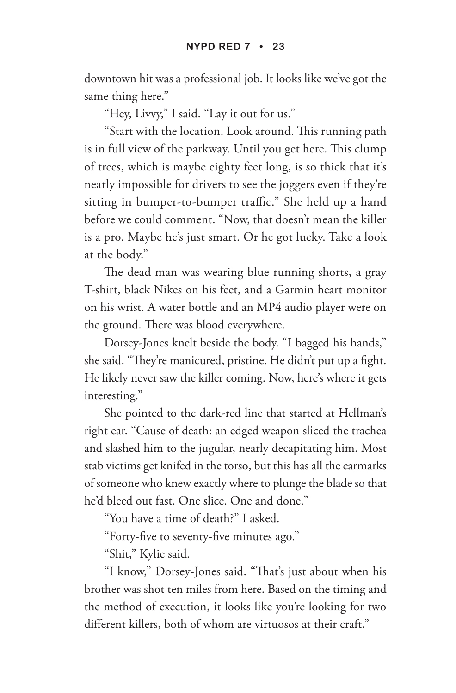downtown hit was a professional job. It looks like we've got the same thing here."

"Hey, Livvy," I said. "Lay it out for us."

"Start with the location. Look around. This running path is in full view of the parkway. Until you get here. This clump of trees, which is maybe eighty feet long, is so thick that it's nearly impossible for drivers to see the joggers even if they're sitting in bumper-to-bumper traffic." She held up a hand before we could comment. "Now, that doesn't mean the killer is a pro. Maybe he's just smart. Or he got lucky. Take a look at the body."

The dead man was wearing blue running shorts, a gray T-shirt, black Nikes on his feet, and a Garmin heart monitor on his wrist. A water bottle and an MP4 audio player were on the ground. There was blood everywhere.

Dorsey-Jones knelt beside the body. "I bagged his hands," she said. "They're manicured, pristine. He didn't put up a fight. He likely never saw the killer coming. Now, here's where it gets interesting."

She pointed to the dark-red line that started at Hellman's right ear. "Cause of death: an edged weapon sliced the trachea and slashed him to the jugular, nearly decapitating him. Most stab victims get knifed in the torso, but this has all the earmarks of someone who knew exactly where to plunge the blade so that he'd bleed out fast. One slice. One and done."

"You have a time of death?" I asked.

"Forty-five to seventy-five minutes ago."

"Shit," Kylie said.

"I know," Dorsey-Jones said. "That's just about when his brother was shot ten miles from here. Based on the timing and the method of execution, it looks like you're looking for two different killers, both of whom are virtuosos at their craft."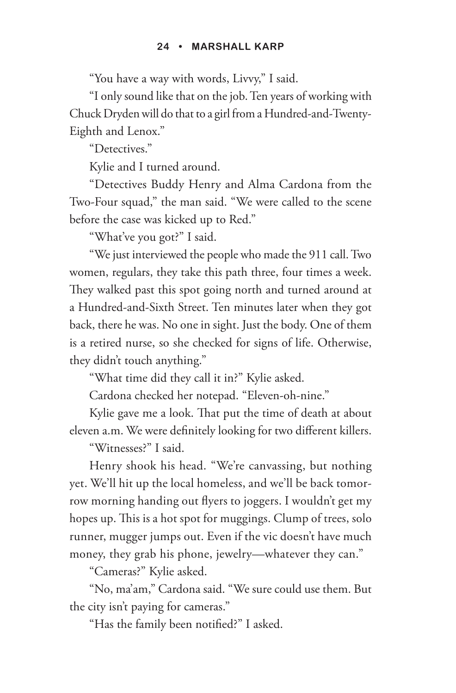"You have a way with words, Livvy," I said.

"I only sound like that on the job. Ten years of working with Chuck Dryden will do that to a girl from a Hundred-and-Twenty-Eighth and Lenox."

"Detectives."

Kylie and I turned around.

"Detectives Buddy Henry and Alma Cardona from the Two-Four squad," the man said. "We were called to the scene before the case was kicked up to Red."

"What've you got?" I said.

"We just interviewed the people who made the 911 call. Two women, regulars, they take this path three, four times a week. They walked past this spot going north and turned around at a Hundred-and-Sixth Street. Ten minutes later when they got back, there he was. No one in sight. Just the body. One of them is a retired nurse, so she checked for signs of life. Otherwise, they didn't touch anything."

"What time did they call it in?" Kylie asked.

Cardona checked her notepad. "Eleven-oh-nine."

Kylie gave me a look. That put the time of death at about eleven a.m. We were definitely looking for two different killers.

"Witnesses?" I said.

Henry shook his head. "We're canvassing, but nothing yet. We'll hit up the local homeless, and we'll be back tomorrow morning handing out flyers to joggers. I wouldn't get my hopes up. This is a hot spot for muggings. Clump of trees, solo runner, mugger jumps out. Even if the vic doesn't have much money, they grab his phone, jewelry—whatever they can."

"Cameras?" Kylie asked.

"No, ma'am," Cardona said. "We sure could use them. But the city isn't paying for cameras."

"Has the family been notified?" I asked.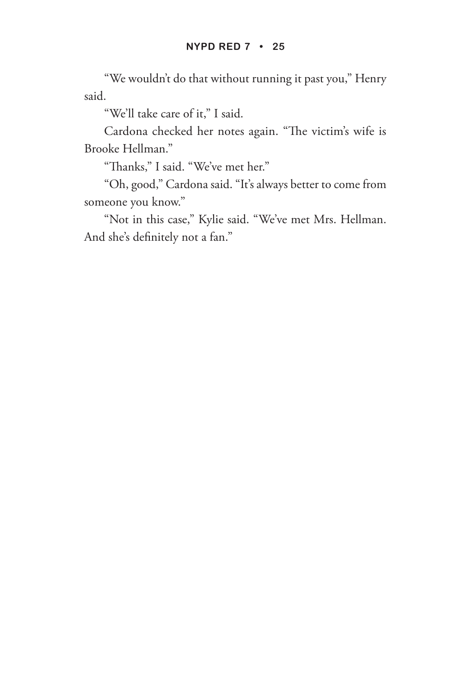"We wouldn't do that without running it past you," Henry said.

"We'll take care of it," I said.

Cardona checked her notes again. "The victim's wife is Brooke Hellman."

"Thanks," I said. "We've met her."

"Oh, good," Cardona said. "It's always better to come from someone you know."

"Not in this case," Kylie said. "We've met Mrs. Hellman. And she's definitely not a fan."